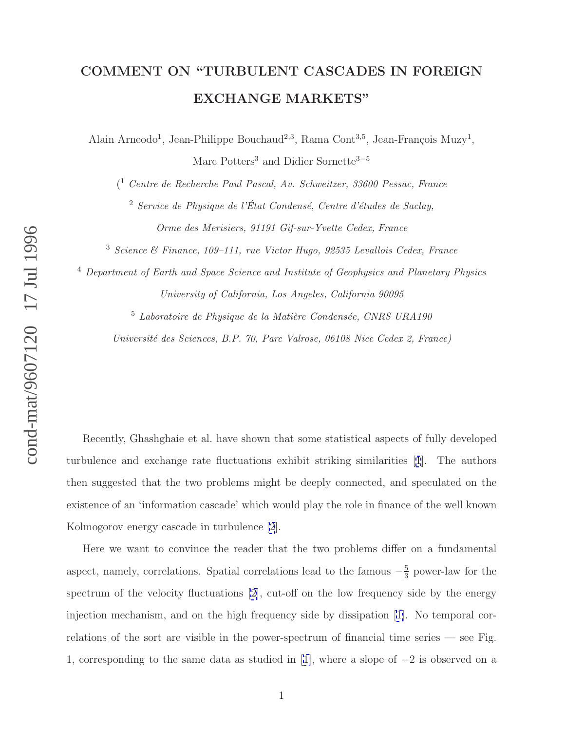## **COMMENT ON "TURBULENT CASCADES IN FOREIGN EXCHANGE MARKETS"**

Alain Arneodo<sup>1</sup>, Jean-Philippe Bouchaud<sup>2,3</sup>, Rama Cont<sup>3,5</sup>, Jean-François Muzy<sup>1</sup>, Marc Potters<sup>3</sup> and Didier Sornette<sup>3-5</sup>

( <sup>1</sup> Centre de Recherche Paul Pascal, Av. Schweitzer, 33600 Pessac, France

 $2$  Service de Physique de l'État Condensé, Centre d'études de Saclay, Orme des Merisiers, 91191 Gif-sur-Yvette Cedex, France

<sup>3</sup> Science & Finance, 109–111, rue Victor Hugo, 92535 Levallois Cedex, France

<sup>4</sup> Department of Earth and Space Science and Institute of Geophysics and Planetary Physics University of California, Los Angeles, California 90095

 $5$  Laboratoire de Physique de la Matière Condensée, CNRS URA190

Université des Sciences, B.P. 70, Parc Valrose, 06108 Nice Cedex 2, France)

Recently, Ghashghaie et al. have shown that some statistical aspects of fully developed turbulence and exchange rate fluctuations exhibit striking similarities [[1](#page-3-0)]. The authors then suggested that the two problems might be deeply connected, and speculated on the existence of an 'information cascade' which would play the role in finance of the well known Kolmogorov energy cascade in turbulence [\[2](#page-3-0)].

Here we want to convince the reader that the two problems differ on a fundamental aspect, namely, correlations. Spatial correlations lead to the famous  $-\frac{5}{3}$  power-law for the spectrum of the velocity fluctuations [\[2\]](#page-3-0), cut-off on the low frequency side by the energy injection mechanism, and on the high frequency side by dissipation [[1\]](#page-3-0). No temporal correlations of the sort are visible in the power-spectrum of financial time series — see Fig. 1, corresponding to the same data as studied in [[1\]](#page-3-0), where a slope of  $-2$  is observed on a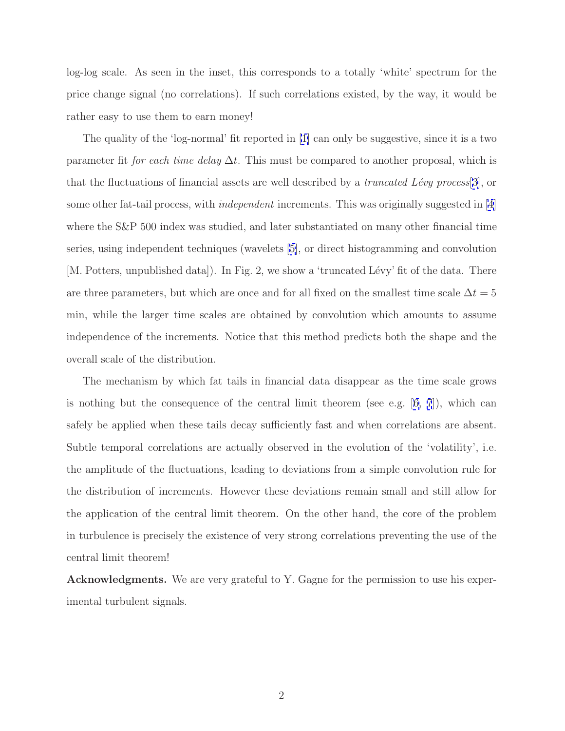log-log scale. As seen in the inset, this corresponds to a totally 'white' spectrum for the price change signal (no correlations). If such correlations existed, by the way, it would be rather easy to use them to earn money!

The quality of the 'log-normal' fit reported in [\[1\]](#page-3-0) can only be suggestive, since it is a two parameter fit for each time delay  $\Delta t$ . This must be compared to another proposal, which is that the fluctuations of financial assets are well described by a *truncated Lévy process*[\[3\]](#page-3-0), or some other fat-tail process, with *independent* increments. This was originally suggested in [\[4](#page-3-0)] where the S&P 500 index was studied, and later substantiated on many other financial time series, using independent techniques (wavelets [[5\]](#page-3-0), or direct histogramming and convolution [M. Potters, unpublished data]). In Fig. 2, we show a 'truncated Lévy' fit of the data. There are three parameters, but which are once and for all fixed on the smallest time scale  $\Delta t = 5$ min, while the larger time scales are obtained by convolution which amounts to assume independence of the increments. Notice that this method predicts both the shape and the overall scale of the distribution.

The mechanism by which fat tails in financial data disappear as the time scale grows is nothing but the consequence of the central limit theorem (see e.g.  $(6, 7)$ ), which can safely be applied when these tails decay sufficiently fast and when correlations are absent. Subtle temporal correlations are actually observed in the evolution of the 'volatility', i.e. the amplitude of the fluctuations, leading to deviations from a simple convolution rule for the distribution of increments. However these deviations remain small and still allow for the application of the central limit theorem. On the other hand, the core of the problem in turbulence is precisely the existence of very strong correlations preventing the use of the central limit theorem!

**Acknowledgments.** We are very grateful to Y. Gagne for the permission to use his experimental turbulent signals.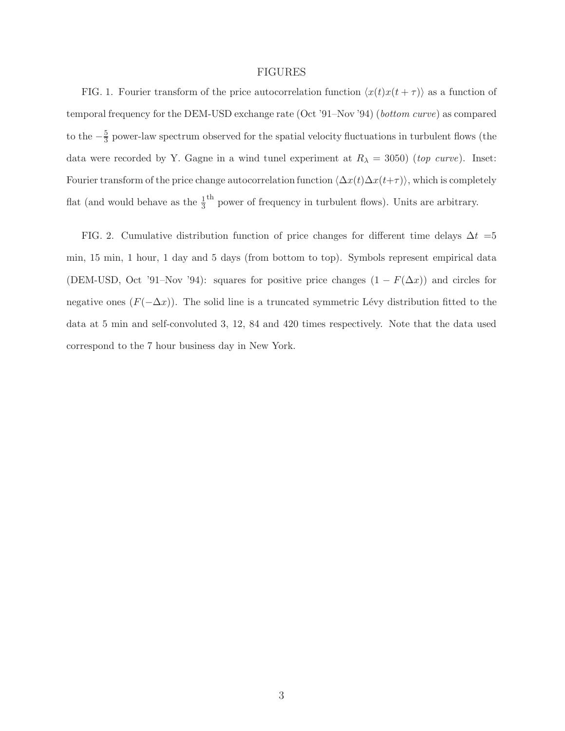## FIGURES

FIG. 1. Fourier transform of the price autocorrelation function  $\langle x(t)x(t + \tau) \rangle$  as a function of temporal frequency for the DEM-USD exchange rate (Oct '91–Nov '94) (bottom curve) as compared to the  $-\frac{5}{3}$  power-law spectrum observed for the spatial velocity fluctuations in turbulent flows (the data were recorded by Y. Gagne in a wind tunel experiment at  $R_{\lambda} = 3050$ ) (*top curve*). Inset: Fourier transform of the price change autocorrelation function  $\langle \Delta x(t)\Delta x(t+\tau) \rangle$ , which is completely flat (and would behave as the  $\frac{1}{3}$ <sup>th</sup> power of frequency in turbulent flows). Units are arbitrary.

FIG. 2. Cumulative distribution function of price changes for different time delays  $\Delta t = 5$ min, 15 min, 1 hour, 1 day and 5 days (from bottom to top). Symbols represent empirical data (DEM-USD, Oct '91–Nov '94): squares for positive price changes  $(1 - F(\Delta x))$  and circles for negative ones  $(F(-\Delta x))$ . The solid line is a truncated symmetric Lévy distribution fitted to the data at 5 min and self-convoluted 3, 12, 84 and 420 times respectively. Note that the data used correspond to the 7 hour business day in New York.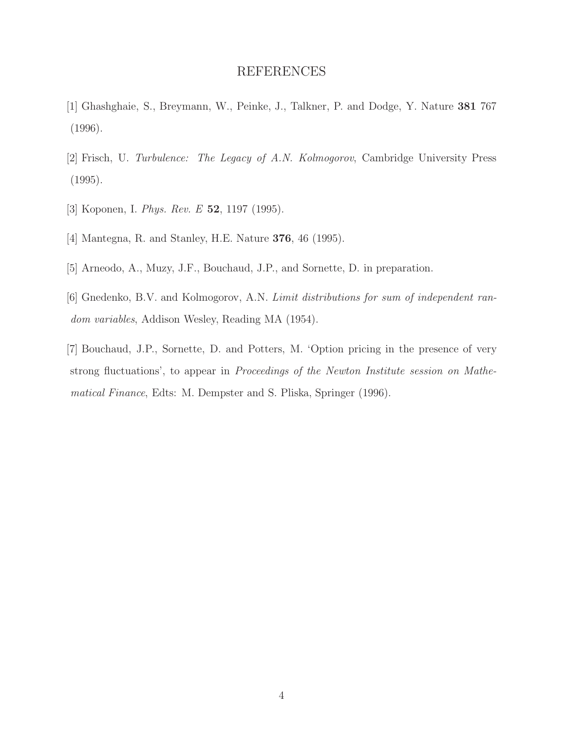## REFERENCES

- <span id="page-3-0"></span>[1] Ghashghaie, S., Breymann, W., Peinke, J., Talkner, P. and Dodge, Y. Nature **381** 767 (1996).
- [2] Frisch, U. Turbulence: The Legacy of A.N. Kolmogorov, Cambridge University Press (1995).
- [3] Koponen, I. Phys. Rev. E **52**, 1197 (1995).
- [4] Mantegna, R. and Stanley, H.E. Nature **376**, 46 (1995).
- [5] Arneodo, A., Muzy, J.F., Bouchaud, J.P., and Sornette, D. in preparation.
- [6] Gnedenko, B.V. and Kolmogorov, A.N. Limit distributions for sum of independent random variables, Addison Wesley, Reading MA (1954).
- [7] Bouchaud, J.P., Sornette, D. and Potters, M. 'Option pricing in the presence of very strong fluctuations', to appear in Proceedings of the Newton Institute session on Mathematical Finance, Edts: M. Dempster and S. Pliska, Springer (1996).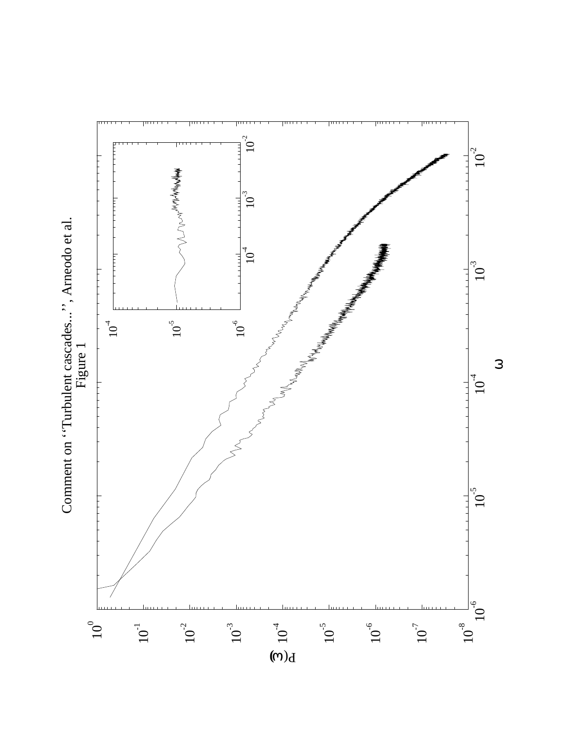